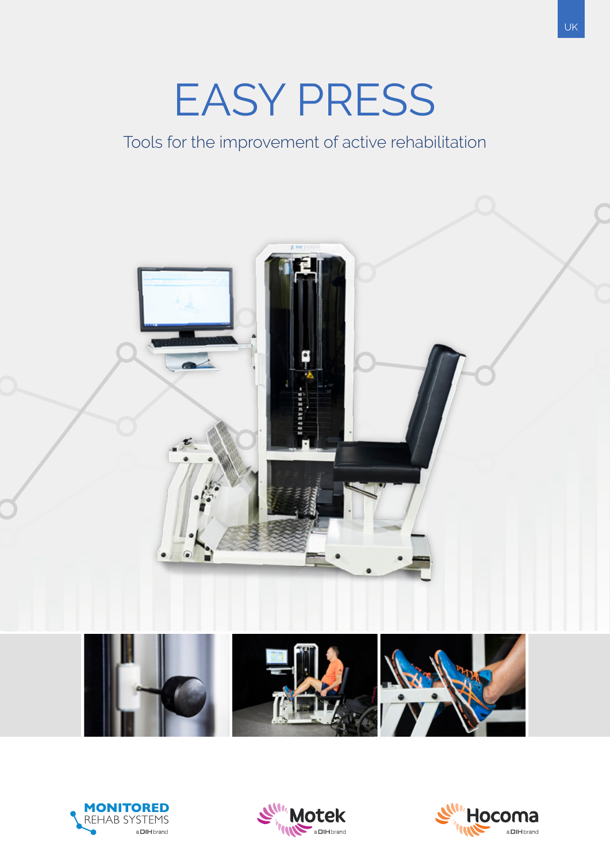# EASY PRESS

Tools for the improvement of active rehabilitation